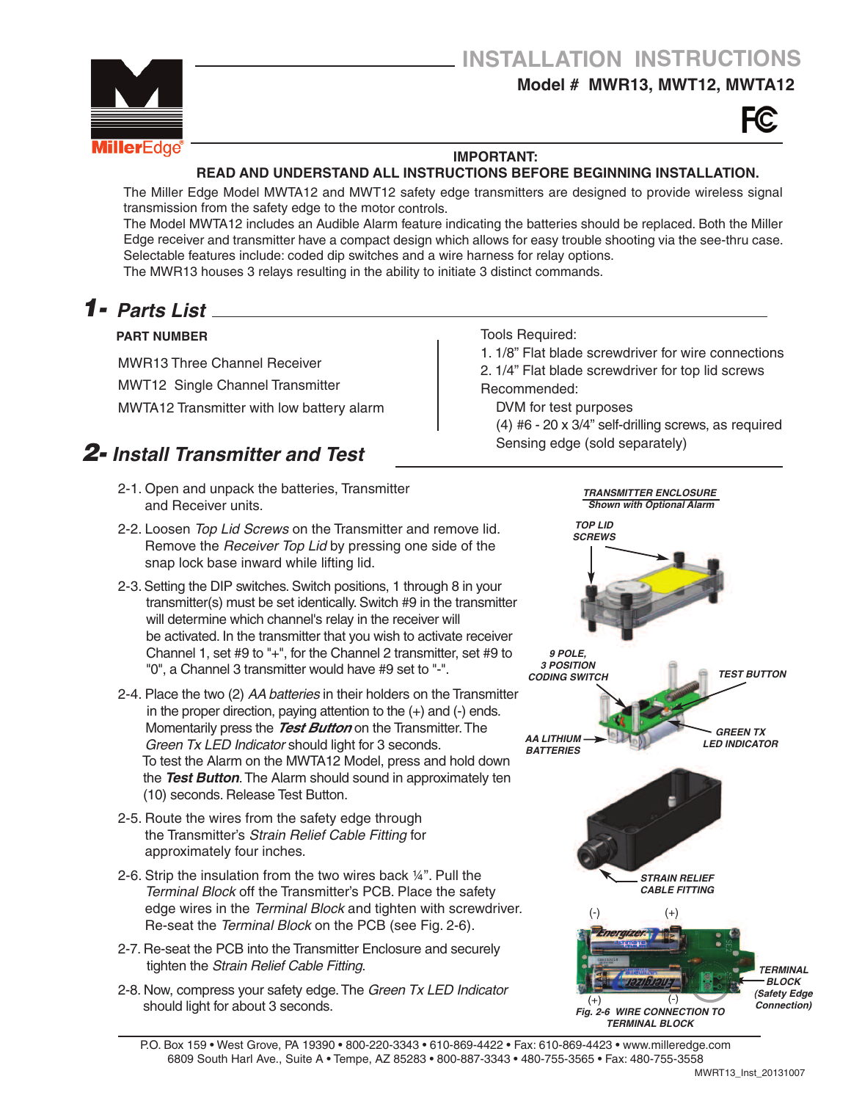### **Model # MWR13, MWT12, MWTA12**





#### **IMPORTANT:**

#### **READ AND UNDERSTAND ALL INSTRUCTIONS BEFORE BEGINNING INSTALLATION.**

The Miller Edge Model MWTA12 and MWT12 safety edge transmitters are designed to provide wireless signal transmission from the safety edge to the motor controls.

The Model MWTA12 includes an Audible Alarm feature indicating the batteries should be replaced. Both the Miller Edge receiver and transmitter have <sup>a</sup> compact design which allows for easy trouble shooting via the see-thru case. Selectable features include: coded dip switches and <sup>a</sup> wire harness for relay options. The MWR13 houses 3 relays resulting in the ability to initiate 3 distinct commands.

# *Parts List 1-*

#### **PART NUMBER**

MWR13 Three Channel Receiver MWT12 Single Channel Transmitter

MWTA12 Transmitter with low battery alarm

### *2- Install Transmitter and Test*

- 2-1. Open and unpack the batteries, Transmitter and Receiver units.
- 2-2. Loosen *Top Lid Screws* on the Transmitter and remove lid. Remove the *Receiver Top Lid* by pressing one side of the snap lock base inward while lifting lid.
- 2-3.Setting the DIP switches.Switch positions, 1 through 8 in your transmitter(s) must be set identically.Switch #9 in the transmitter will determine which channel's relay in the receiver will be activated. In the transmitter that you wish to activate receiver Channel 1, set #9 to "+", for the Channel 2 transmitter, set #9 to "0", a Channel 3 transmitter would have #9 set to "-".
- 2-4. Place the two (2) *AA batteries* in their holders on the Transmitter in the proper direction, paying attention to the (+) and (-) ends. Momentarily press the *Test Button* on the Transmitter.The *Green Tx LED Indicator* should light for 3 seconds. To test the Alarm on the MWTA12 Model, press and hold down the *Test Button*.The Alarm should sound in approximately ten (10) seconds. Release Test Button.
- 2-5. Route the wires from the safety edge through the Transmitter's *Strain Relief Cable Fitting* for approximately four inches.
- 2-6. Strip the insulation from the two wires back ¼". Pull the *Terminal Block* off the Transmitter's PCB. Place the safety edge wires in the *Terminal Block* and tighten with screwdriver. Re-seat the *Terminal Block* on the PCB (see Fig. 2-6).
- 2-7. Re-seat the PCB into the Transmitter Enclosure and securely tighten the *Strain Relief Cable Fitting*.
- 2-8. Now, compress your safety edge.The *Green Tx LED Indicator* should light for about 3 seconds.

#### Tools Required: 1. 1/8" Flat blade screwdriver for wire connections

2. 1/4" Flat blade screwdriver for top lid screws

Recommended:

DVM for test purposes

(4) #6 - 20 x 3/4" self-drilling screws, as required Sensing edge (sold separately)



P.O. Box 159 • West Grove, PA 19390 • 800-220-3343 • 610-869-4422 • Fax: 610-869-4423 • www.milleredge.com 6809 South Harl Ave., Suite A • Tempe, AZ 85283 • 800-887-3343 • 480-755-3565 • Fax: 480-755-3558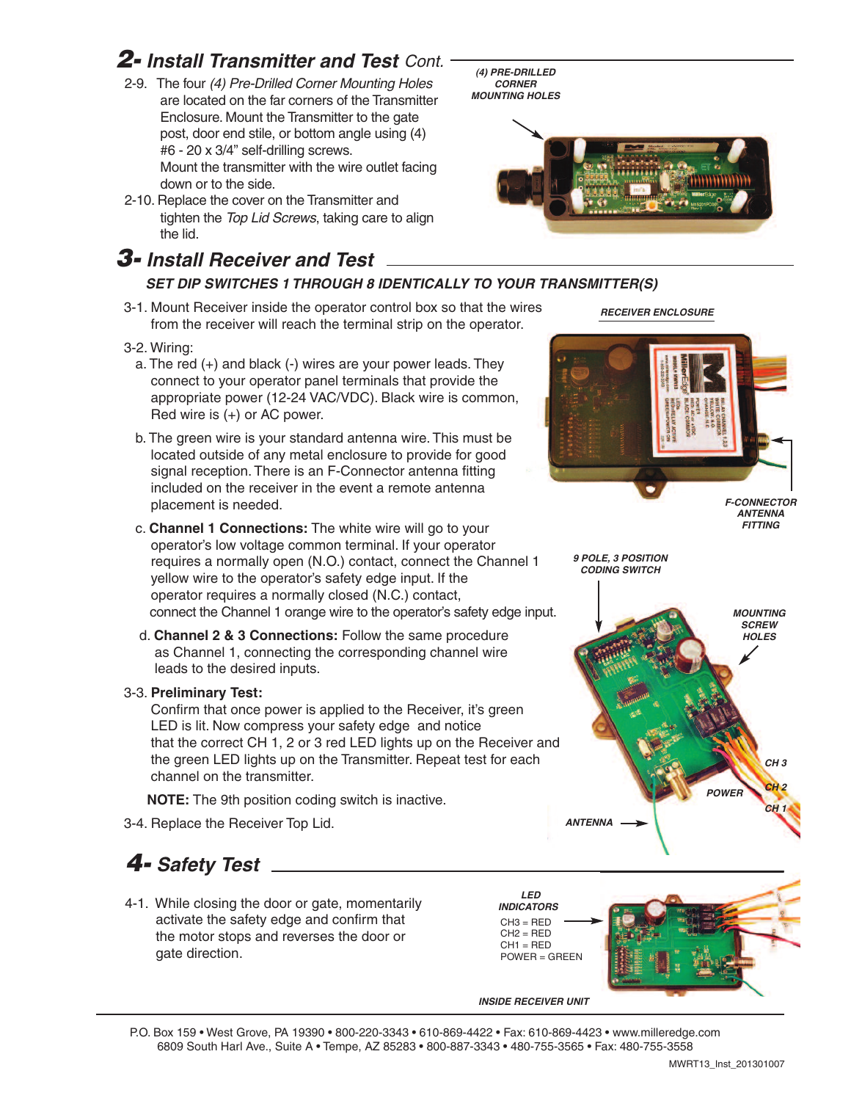### *2- Install Transmitter and Test Cont.*

- 2-9. The four *(4) Pre-Drilled Corner Mounting Holes* are located on the far corners of the Transmitter Enclosure. Mount the Transmitter to the gate post, door end stile, or bottom angle using (4) #6 - 20 x 3/4" self-drilling screws. Mount the transmitter with the wire outlet facing down or to the side.
- 2-10. Replace the cover on the Transmitter and tighten the *Top Lid Screws*, taking care to align the lid.

### *3- Install Receiver and Test*

### *SET DIP SWITCHES 1 THROUGH 8 IDENTICALLY TO YOUR TRANSMITTER(S)*

3-1. Mount Receiver inside the operator control box so that the wires from the receiver will reach the terminal strip on the operator.

#### 3-2. Wiring:

- a. The red (+) and black (-) wires are your power leads. They connect to your operator panel terminals that provide the appropriate power (12-24 VAC/VDC). Black wire is common, Red wire is (+) or AC power.
- b. The green wire is your standard antenna wire. This must be located outside of any metal enclosure to provide for good signal reception. There is an F-Connector antenna fitting included on the receiver in the event a remote antenna placement is needed.
- c. **Channel 1 Connections:** The white wire will go to your operator's low voltage common terminal. If your operator requires a normally open (N.O.) contact, connect the Channel 1 yellow wire to the operator's safety edge input. If the operator requires a normally closed (N.C.) contact, connect the Channel 1 orange wire to the operator's safety edge input.
- d. **Channel 2 & 3 Connections:** Follow the same procedure as Channel 1, connecting the corresponding channel wire leads to the desired inputs.

#### 3-3. **Preliminary Test:**

Confirm that once power is applied to the Receiver, it's green LED is lit. Now compress your safety edge and notice that the correct CH 1, 2 or 3 red LED lights up on the Receiver and the green LED lights up on the Transmitter. Repeat test for each channel on the transmitter.

**NOTE:** The 9th position coding switch is inactive.

3-4. Replace the Receiver Top Lid.

## *4- Safety Test*

4-1. While closing the door or gate, momentarily activate the safety edge and confirm that the motor stops and reverses the door or gate direction.



*INSIDE RECEIVER UNIT*

P.O. Box 159 • West Grove, PA 19390 • 800-220-3343 • 610-869-4422 • Fax: 610-869-4423 • www.milleredge.com 6809 South Harl Ave., Suite A • Tempe, AZ 85283 • 800-887-3343 • 480-755-3565 • Fax: 480-755-3558

*RECEIVER ENCLOSURE*



*9 POLE, 3 POSITION CODING SWITCH*

*F-CONNECTOR ANTENNA FITTING*



*(4) PRE-DRILLED CORNER MOUNTING HOLES*